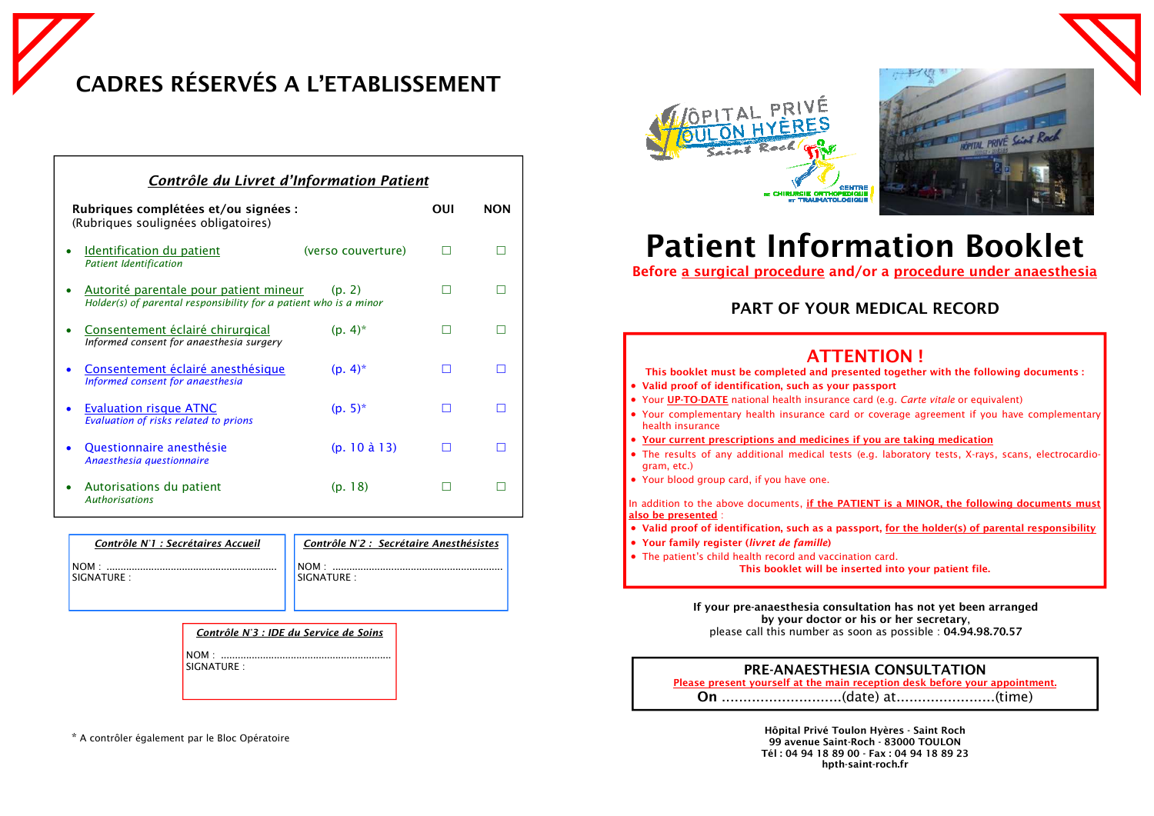| Contrôle du Livret d'Information Patient                                                                              |     |            |  |  |  |
|-----------------------------------------------------------------------------------------------------------------------|-----|------------|--|--|--|
| Rubriques complétées et/ou signées :<br>(Rubriques soulignées obligatoires)                                           | OUI | <b>NON</b> |  |  |  |
| <b>Identification du patient</b><br>(verso couverture)<br><b>Patient Identification</b>                               |     |            |  |  |  |
| Autorité parentale pour patient mineur<br>(p. 2)<br>Holder(s) of parental responsibility for a patient who is a minor |     |            |  |  |  |
| Consentement éclairé chirurgical<br>$(p. 4)^*$<br>Informed consent for anaesthesia surgery                            |     |            |  |  |  |
| Consentement éclairé anesthésique<br>$(p. 4)^*$<br>Informed consent for anaesthesia                                   |     |            |  |  |  |
| $(p. 5)^*$<br><b>Evaluation risque ATNC</b><br>Evaluation of risks related to prions                                  |     |            |  |  |  |
| $(p. 10 \text{ à } 13)$<br>Questionnaire anesthésie<br>Anaesthesia questionnaire                                      |     |            |  |  |  |
| Autorisations du patient<br>(p. 18)<br><b>Authorisations</b>                                                          |     |            |  |  |  |

# **Patient Information Booklet Before a surgical procedure and/or a procedure under anaesthesia**

| <b>PRE-ANAESTHESIA CONSULTATION</b>                                         |  |                                                 |  |  |  |  |
|-----------------------------------------------------------------------------|--|-------------------------------------------------|--|--|--|--|
| Please present yourself at the main reception desk before your appointment. |  |                                                 |  |  |  |  |
|                                                                             |  | $\sqrt{1}$ . $\sqrt{2}$ . The set of $\sqrt{2}$ |  |  |  |  |

|--|--|--|

**On** ............................(date) at.......................(time)

**If your pre-anaesthesia consultation has not yet been arranged by your doctor or his or her secretary**, please call this number as soon as possible : **04.94.98.70.57**

- **This booklet must be completed and presented together with the following documents :**
- **Valid proof of identification, such as your passport**
- Your **UP-TO-DATE** national health insurance card (e.g. *Carte vitale* or equivalent)
- Your complementary health insurance card or coverage agreement if you have complementary health insurance
- **Your current prescriptions and medicines if you are taking medication**
- The results of any additional medical tests (e.g. laboratory tests, X-rays, scans, electrocardiogram, etc.)
- Your blood group card, if you have one.

In addition to the above documents, **if the PATIENT is a MINOR, the following documents must also be presented** :

- **Valid proof of identification, such as a passport, for the holder(s) of parental responsibility**
- **Your family register (***livret de famille***)**
- The patient's child health record and vaccination card. **This booklet will be inserted into your patient file.**

## **PART OF YOUR MEDICAL RECORD**

|--|

**CADRES RÉSERVÉS A L'ETABLISSEMENT** 

**Hôpital Privé Toulon Hyères - Saint Roch 99 avenue Saint-Roch - 83000 TOULON Tél : 04 94 18 89 00 - Fax : 04 94 18 89 23 hpth-saint-roch.fr** 

## **ATION !**

#### **CONSULTATION**

| Contrôle N°1 : Secrétaires Accueil | Contrôle N'2 : Secrétaire Anesthésistes |
|------------------------------------|-----------------------------------------|
| $NOM$ .                            | $NOM$ .                                 |
| <b>SIGNATURE:</b>                  | <b>ISIGNATURE:</b>                      |

| Contrôle N'3 : IDE du Service de Soins |
|----------------------------------------|
| SIGNATURE :                            |

\* A contrôler également par le Bloc Opératoire